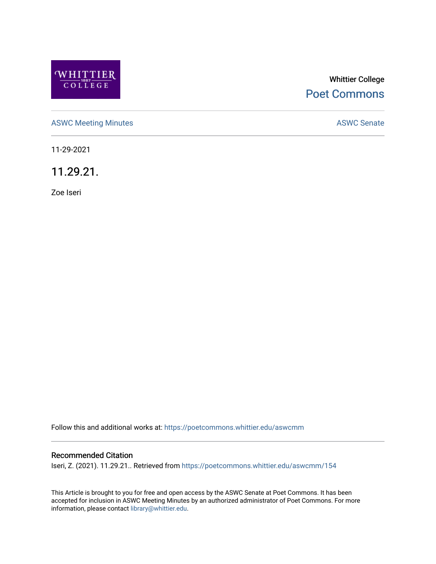

# Whittier College [Poet Commons](https://poetcommons.whittier.edu/)

[ASWC Meeting Minutes](https://poetcommons.whittier.edu/aswcmm) **ASWC Senate** 

11-29-2021

11.29.21.

Zoe Iseri

Follow this and additional works at: [https://poetcommons.whittier.edu/aswcmm](https://poetcommons.whittier.edu/aswcmm?utm_source=poetcommons.whittier.edu%2Faswcmm%2F154&utm_medium=PDF&utm_campaign=PDFCoverPages)

#### Recommended Citation

Iseri, Z. (2021). 11.29.21.. Retrieved from [https://poetcommons.whittier.edu/aswcmm/154](https://poetcommons.whittier.edu/aswcmm/154?utm_source=poetcommons.whittier.edu%2Faswcmm%2F154&utm_medium=PDF&utm_campaign=PDFCoverPages) 

This Article is brought to you for free and open access by the ASWC Senate at Poet Commons. It has been accepted for inclusion in ASWC Meeting Minutes by an authorized administrator of Poet Commons. For more information, please contact [library@whittier.edu.](mailto:library@whittier.edu)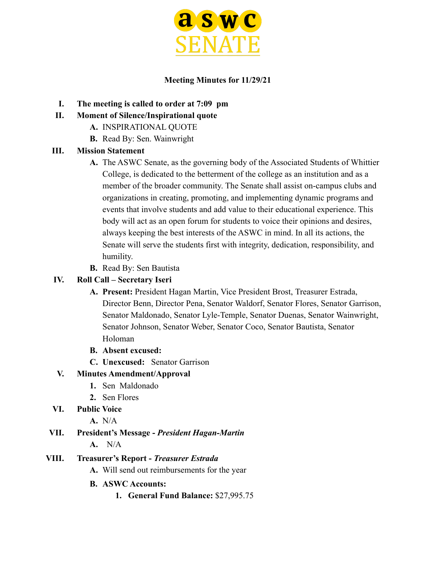

#### **Meeting Minutes for 11/29/21**

- **I. The meeting is called to order at 7:09 pm**
- **II. Moment of Silence/Inspirational quote**
	- **A.** INSPIRATIONAL QUOTE
	- **B.** Read By: Sen. Wainwright

### **III. Mission Statement**

- **A.** The ASWC Senate, as the governing body of the Associated Students of Whittier College, is dedicated to the betterment of the college as an institution and as a member of the broader community. The Senate shall assist on-campus clubs and organizations in creating, promoting, and implementing dynamic programs and events that involve students and add value to their educational experience. This body will act as an open forum for students to voice their opinions and desires, always keeping the best interests of the ASWC in mind. In all its actions, the Senate will serve the students first with integrity, dedication, responsibility, and humility.
- **B.** Read By: Sen Bautista

#### **IV. Roll Call – Secretary Iseri**

- **A. Present:** President Hagan Martin, Vice President Brost, Treasurer Estrada, Director Benn, Director Pena, Senator Waldorf, Senator Flores, Senator Garrison, Senator Maldonado, Senator Lyle-Temple, Senator Duenas, Senator Wainwright, Senator Johnson, Senator Weber, Senator Coco, Senator Bautista, Senator Holoman
- **B. Absent excused:**
- **C. Unexcused:** Senator Garrison

### **V. Minutes Amendment/Approval**

- **1.** Sen Maldonado
- **2.** Sen Flores
- **VI. Public Voice**
	- **A.** N/A

# **VII. President's Message -** *President Hagan-Martin*

**A.** N/A

### **VIII. Treasurer's Report -** *Treasurer Estrada*

- **A.** Will send out reimbursements for the year
- **B. ASWC Accounts:**
	- **1. General Fund Balance:** \$27,995.75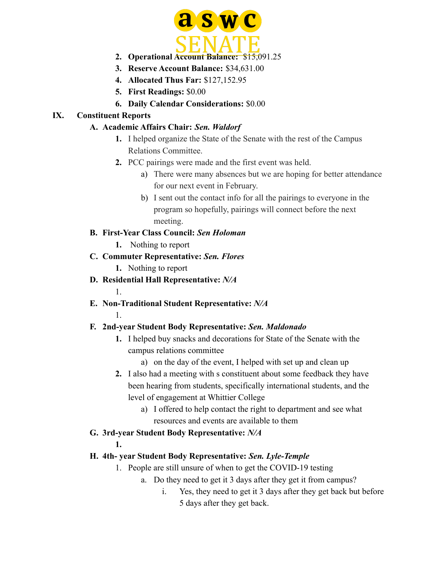

- **2. Operational Account Balance:** \$15,091.25
- **3. Reserve Account Balance:** \$34,631.00
- **4. Allocated Thus Far:** \$127,152.95
- **5. First Readings:** \$0.00
- **6. Daily Calendar Considerations:** \$0.00

### **IX. Constituent Reports**

### **A. Academic Affairs Chair:** *Sen. Waldorf*

- **1.** I helped organize the State of the Senate with the rest of the Campus Relations Committee.
- **2.** PCC pairings were made and the first event was held.
	- a) There were many absences but we are hoping for better attendance for our next event in February.
	- b) I sent out the contact info for all the pairings to everyone in the program so hopefully, pairings will connect before the next meeting.

### **B. First-Year Class Council:** *Sen Holoman*

- **1.** Nothing to report
- **C. Commuter Representative:** *Sen. Flores*
	- **1.** Nothing to report
- **D. Residential Hall Representative:** *N/A*
- **E. Non-Traditional Student Representative:** *N/A*
	- 1.

1.

## **F. 2nd-year Student Body Representative:** *Sen. Maldonado*

- **1.** I helped buy snacks and decorations for State of the Senate with the campus relations committee
	- a) on the day of the event, I helped with set up and clean up
- **2.** I also had a meeting with s constituent about some feedback they have been hearing from students, specifically international students, and the level of engagement at Whittier College
	- a) I offered to help contact the right to department and see what resources and events are available to them

### **G. 3rd-year Student Body Representative:** *N/A*

### **1.**

## **H. 4th- year Student Body Representative:** *Sen. Lyle-Temple*

- 1. People are still unsure of when to get the COVID-19 testing
	- a. Do they need to get it 3 days after they get it from campus?
		- i. Yes, they need to get it 3 days after they get back but before 5 days after they get back.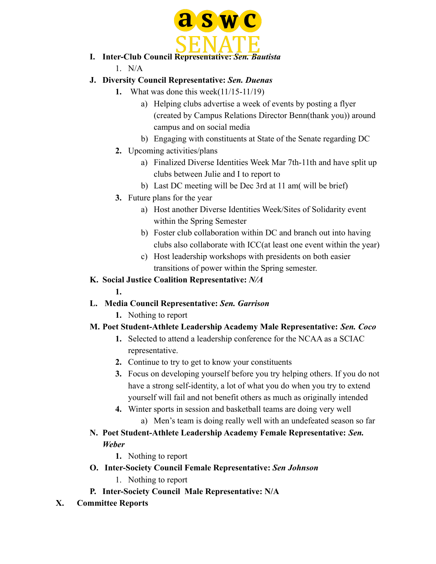

- **I. Inter-Club Council Representative:** *Sen. Bautista*
	- 1. N/A

## **J. Diversity Council Representative:** *Sen. Duenas*

- **1.** What was done this week(11/15-11/19)
	- a) Helping clubs advertise a week of events by posting a flyer (created by Campus Relations Director Benn(thank you)) around campus and on social media
	- b) Engaging with constituents at State of the Senate regarding DC
- **2.** Upcoming activities/plans
	- a) Finalized Diverse Identities Week Mar 7th-11th and have split up clubs between Julie and I to report to
	- b) Last DC meeting will be Dec 3rd at 11 am( will be brief)
- **3.** Future plans for the year
	- a) Host another Diverse Identities Week/Sites of Solidarity event within the Spring Semester
	- b) Foster club collaboration within DC and branch out into having clubs also collaborate with ICC(at least one event within the year)
	- c) Host leadership workshops with presidents on both easier transitions of power within the Spring semester.

## **K. Social Justice Coalition Representative:** *N/A*

### **1.**

## **L. Media Council Representative:** *Sen. Garrison*

**1.** Nothing to report

## **M. Poet Student-Athlete Leadership Academy Male Representative:** *Sen. Coco*

- **1.** Selected to attend a leadership conference for the NCAA as a SCIAC representative.
- **2.** Continue to try to get to know your constituents
- **3.** Focus on developing yourself before you try helping others. If you do not have a strong self-identity, a lot of what you do when you try to extend yourself will fail and not benefit others as much as originally intended
- **4.** Winter sports in session and basketball teams are doing very well
	- a) Men's team is doing really well with an undefeated season so far
- **N. Poet Student-Athlete Leadership Academy Female Representative:** *Sen. Weber*
	- **1.** Nothing to report
- **O. Inter-Society Council Female Representative:** *Sen Johnson*
	- 1. Nothing to report
- **P. Inter-Society Council Male Representative: N/A**
- **X. Committee Reports**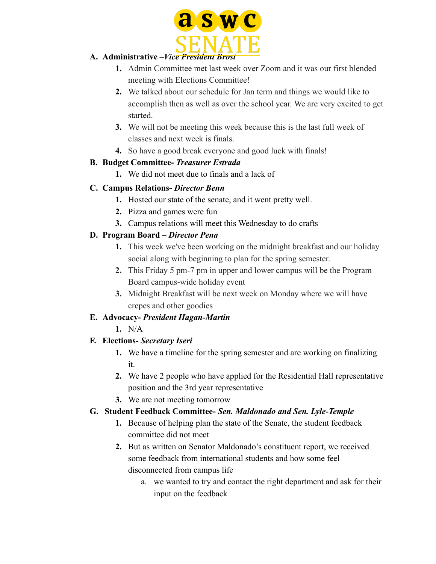

### **A. Administrative –***Vice President Brost*

- **1.** Admin Committee met last week over Zoom and it was our first blended meeting with Elections Committee!
- **2.** We talked about our schedule for Jan term and things we would like to accomplish then as well as over the school year. We are very excited to get started.
- **3.** We will not be meeting this week because this is the last full week of classes and next week is finals.
- **4.** So have a good break everyone and good luck with finals!

## **B. Budget Committee-** *Treasurer Estrada*

**1.** We did not meet due to finals and a lack of

## **C. Campus Relations-** *Director Benn*

- **1.** Hosted our state of the senate, and it went pretty well.
- **2.** Pizza and games were fun
- **3.** Campus relations will meet this Wednesday to do crafts

## **D. Program Board –** *Director Pena*

- **1.** This week we've been working on the midnight breakfast and our holiday social along with beginning to plan for the spring semester.
- **2.** This Friday 5 pm-7 pm in upper and lower campus will be the Program Board campus-wide holiday event
- **3.** Midnight Breakfast will be next week on Monday where we will have crepes and other goodies

## **E. Advocacy-** *President Hagan-Martin*

**1.** N/A

## **F. Elections-** *Secretary Iseri*

- **1.** We have a timeline for the spring semester and are working on finalizing it.
- **2.** We have 2 people who have applied for the Residential Hall representative position and the 3rd year representative
- **3.** We are not meeting tomorrow

## **G. Student Feedback Committee-** *Sen. Maldonado and Sen. Lyle-Temple*

- **1.** Because of helping plan the state of the Senate, the student feedback committee did not meet
- **2.** But as written on Senator Maldonado's constituent report, we received some feedback from international students and how some feel disconnected from campus life
	- a. we wanted to try and contact the right department and ask for their input on the feedback